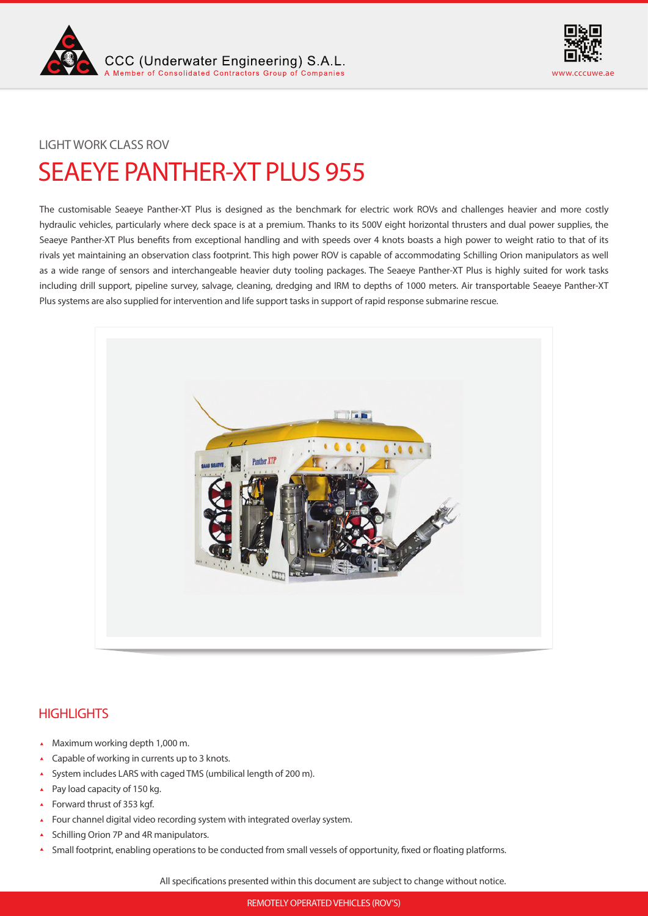



## LIGHT WORK CLASS ROV

# SEAEYE PANTHER-XT PLUS 955

The customisable Seaeye Panther-XT Plus is designed as the benchmark for electric work ROVs and challenges heavier and more costly hydraulic vehicles, particularly where deck space is at a premium. Thanks to its 500V eight horizontal thrusters and dual power supplies, the Seaeye Panther-XT Plus benefits from exceptional handling and with speeds over 4 knots boasts a high power to weight ratio to that of its rivals yet maintaining an observation class footprint. This high power ROV is capable of accommodating Schilling Orion manipulators as well as a wide range of sensors and interchangeable heavier duty tooling packages. The Seaeye Panther-XT Plus is highly suited for work tasks including drill support, pipeline survey, salvage, cleaning, dredging and IRM to depths of 1000 meters. Air transportable Seaeye Panther-XT Plus systems are also supplied for intervention and life support tasks in support of rapid response submarine rescue.



## **HIGHLIGHTS**

- Maximum working depth 1,000 m.
- Capable of working in currents up to 3 knots.  $\mathbf{A}$
- System includes LARS with caged TMS (umbilical length of 200 m).
- Pay load capacity of 150 kg.  $\boldsymbol{\lambda}$
- Forward thrust of 353 kgf.
- Four channel digital video recording system with integrated overlay system.
- Schilling Orion 7P and 4R manipulators.
- Small footprint, enabling operations to be conducted from small vessels of opportunity, fixed or floating platforms.

All specifications presented within this document are subject to change without notice.